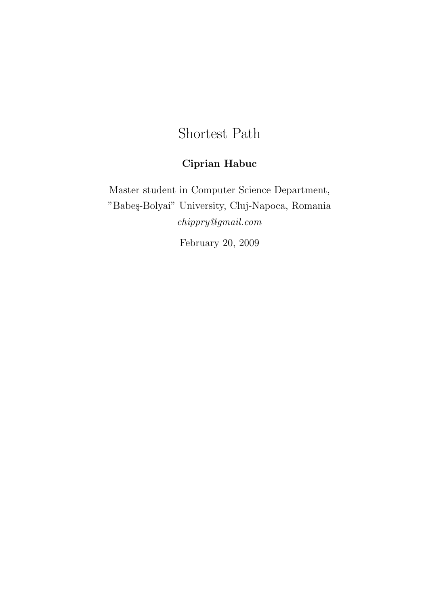# Shortest Path

## Ciprian Habuc

Master student in Computer Science Department, "Babeş-Bolyai" University, Cluj-Napoca, Romania chippry@gmail.com

February 20, 2009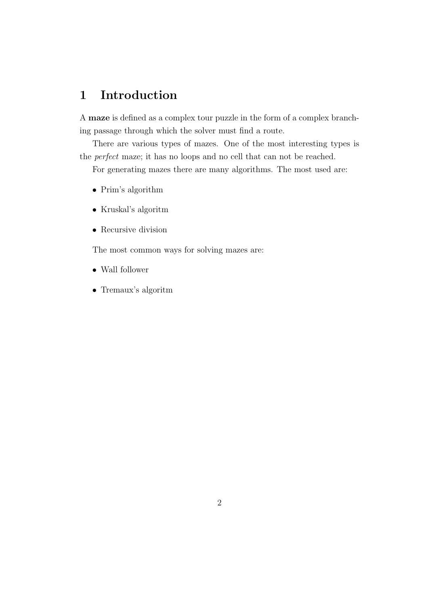### 1 Introduction

A maze is defined as a complex tour puzzle in the form of a complex branching passage through which the solver must find a route.

There are various types of mazes. One of the most interesting types is the perfect maze; it has no loops and no cell that can not be reached.

For generating mazes there are many algorithms. The most used are:

- Prim's algorithm
- $\bullet\,$ Kruskal's algoritm
- Recursive division

The most common ways for solving mazes are:

- Wall follower
- Tremaux's algoritm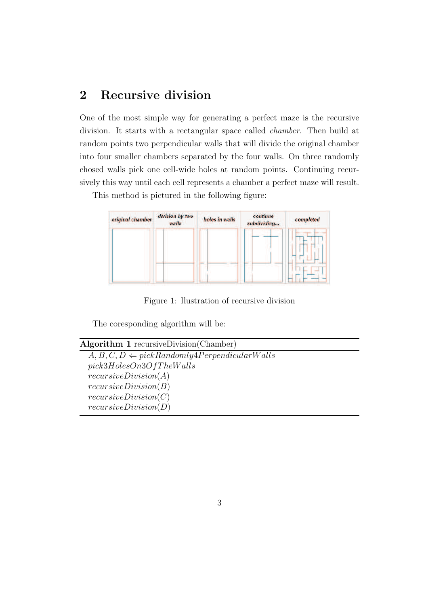### 2 Recursive division

One of the most simple way for generating a perfect maze is the recursive division. It starts with a rectangular space called chamber. Then build at random points two perpendicular walls that will divide the original chamber into four smaller chambers separated by the four walls. On three randomly chosed walls pick one cell-wide holes at random points. Continuing recursively this way until each cell represents a chamber a perfect maze will result.

This method is pictured in the following figure:

| original chamber | division by two<br>walls | holes in walls | continue<br>subdividing | completed |
|------------------|--------------------------|----------------|-------------------------|-----------|
|                  |                          |                |                         |           |
|                  |                          |                |                         |           |
|                  |                          |                |                         |           |

Figure 1: Ilustration of recursive division

The coresponding algorithm will be:

```
Algorithm 1 recursiveDivision(Chamber)
```

```
A, B, C, D \Leftarrow pickRandomly4Perpendicular Wallspick3HolesOn3OfThe WallsrecursiveDivision(A)
recursiveDivision(B)
recursiveDivision(C)recursiveDivision(D)
```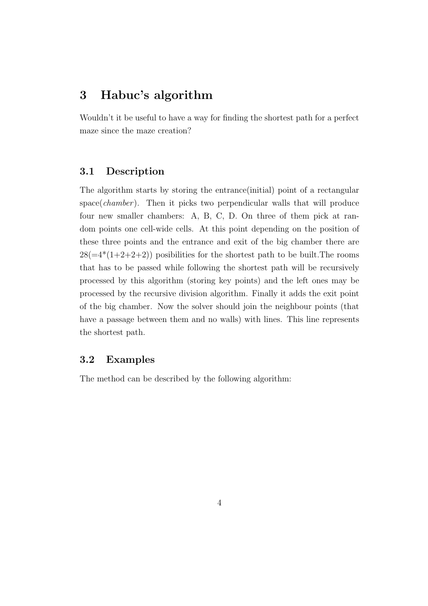### 3 Habuc's algorithm

Wouldn't it be useful to have a way for finding the shortest path for a perfect maze since the maze creation?

#### 3.1 Description

The algorithm starts by storing the entrance(initial) point of a rectangular  $space(chamber)$ . Then it picks two perpendicular walls that will produce four new smaller chambers: A, B, C, D. On three of them pick at random points one cell-wide cells. At this point depending on the position of these three points and the entrance and exit of the big chamber there are  $28(=4*(1+2+2+2))$  posibilities for the shortest path to be built. The rooms that has to be passed while following the shortest path will be recursively processed by this algorithm (storing key points) and the left ones may be processed by the recursive division algorithm. Finally it adds the exit point of the big chamber. Now the solver should join the neighbour points (that have a passage between them and no walls) with lines. This line represents the shortest path.

#### 3.2 Examples

The method can be described by the following algorithm: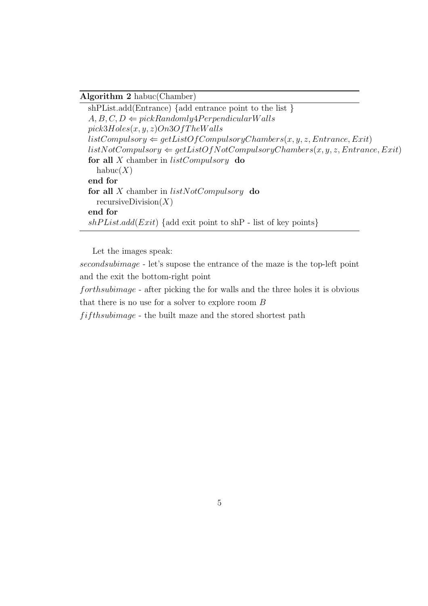#### Algorithm 2 habuc(Chamber)

shPList.add(Entrance) {add entrance point to the list }  $A, B, C, D \Leftarrow pickRandomly4Perpendicular Walls$  $pick3Holes(x, y, z)On3OfThe Walls$  $listComputsory \Leftarrow getListOfComputsoryChambers(x, y, z, Entrance, Ext)$  $listNotComputsory \Leftarrow getListOfNotComputsoryChambers(x, y, z, Entrance, Ext)$ for all  $X$  chamber in  $listComputsory$  do  $habuc(X)$ end for for all X chamber in  $listNotComputsory$  do recursiveDivision $(X)$ end for  $shPlist.add(Exit) {add exit}$  point to shP - list of key points}

Let the images speak:

secondsubimage - let's supose the entrance of the maze is the top-left point and the exit the bottom-right point

forthsubimage - after picking the for walls and the three holes it is obvious that there is no use for a solver to explore room B

 $f$ if thsubimage - the built maze and the stored shortest path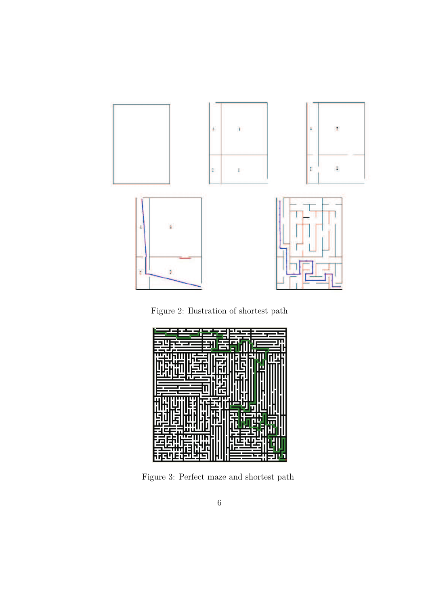





Figure 3: Perfect maze and shortest path